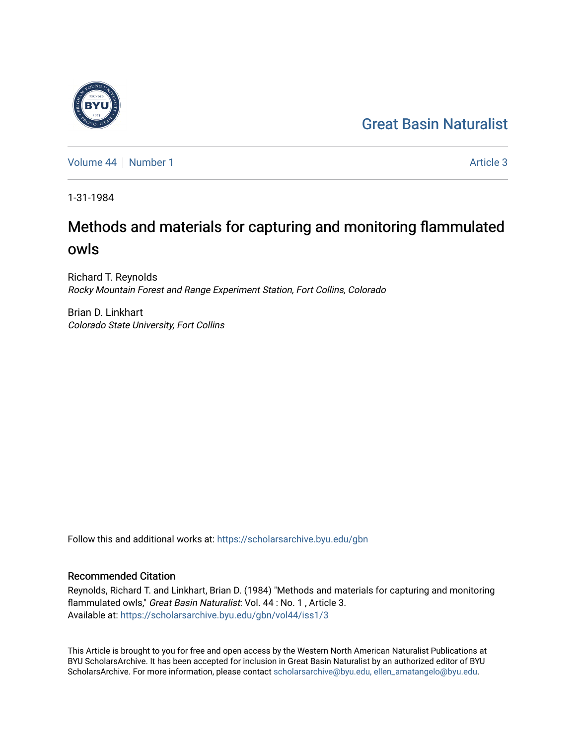# [Great Basin Naturalist](https://scholarsarchive.byu.edu/gbn)

[Volume 44](https://scholarsarchive.byu.edu/gbn/vol44) | [Number 1](https://scholarsarchive.byu.edu/gbn/vol44/iss1) Article 3

1-31-1984

# Methods and materials for capturing and monitoring flammulated owls

Richard T. Reynolds Rocky Mountain Forest and Range Experiment Station, Fort Collins, Colorado

Brian D. Linkhart Colorado State University, Fort Collins

Follow this and additional works at: [https://scholarsarchive.byu.edu/gbn](https://scholarsarchive.byu.edu/gbn?utm_source=scholarsarchive.byu.edu%2Fgbn%2Fvol44%2Fiss1%2F3&utm_medium=PDF&utm_campaign=PDFCoverPages) 

# Recommended Citation

Reynolds, Richard T. and Linkhart, Brian D. (1984) "Methods and materials for capturing and monitoring flammulated owls," Great Basin Naturalist: Vol. 44 : No. 1, Article 3. Available at: [https://scholarsarchive.byu.edu/gbn/vol44/iss1/3](https://scholarsarchive.byu.edu/gbn/vol44/iss1/3?utm_source=scholarsarchive.byu.edu%2Fgbn%2Fvol44%2Fiss1%2F3&utm_medium=PDF&utm_campaign=PDFCoverPages)

This Article is brought to you for free and open access by the Western North American Naturalist Publications at BYU ScholarsArchive. It has been accepted for inclusion in Great Basin Naturalist by an authorized editor of BYU ScholarsArchive. For more information, please contact [scholarsarchive@byu.edu, ellen\\_amatangelo@byu.edu.](mailto:scholarsarchive@byu.edu,%20ellen_amatangelo@byu.edu)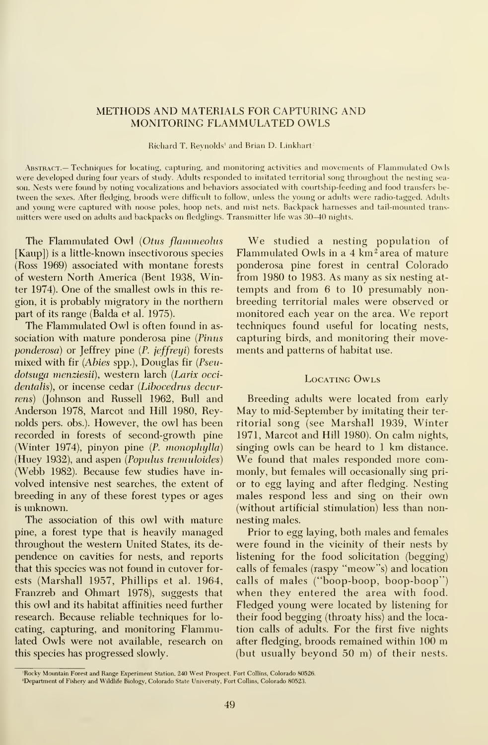## METHODS AND MATERIALS FOR CAPTURING AND MONITORING FLAMMULATED OWLS

Richard T. Reynolds' and Brian D. Linkhart-

Abstract.— Techniques for locating, capturing, and monitoring activities and movements of Flammulated Owls were developed during four years of study. Adults responded to imitated territorial song throughout the nesting season. Nests were found by noting vocalizations and behaviors associated with courtship-feeding and food transfers be tween the sexes. After fledging, broods were difficult to follow, unless the young or adults were radio-tagged. Adults and voung were captured with noose poles, hoop nets, and mist nets. Backpack harnesses and tail-mounted trans mitters were used on adults and backpacks on fledglings. Transmitter life was 30-40 nights.

The Flammulated Owl (Otus flammeolus [Kaup]) is a little-known insectivorous species (Ross 1969) associated with montane forests of western North America (Bent 1938, Winter 1974). One of the smallest owls in this re gion, it is probably migratory in the northern part of its range (Balda et al. 1975).

The Flammulated Owl is often found in as sociation with mature ponderosa pine (Pinus ponderosa) or Jeffrey pine {P. jeffreyi) forests mixed with fir {Abies spp.), Douglas fir {Pseudotsuga menziesii), western larch {Larix occidentalis), or incense cedar (Libocedrus decurrens) (Johnson and Russell 1962, Bull and Anderson 1978, Marcot and Hill 1980, Reynolds pers. obs.). However, the owl has been recorded in forests of second-growth pine (Winter 1974), pinyon pine {P. monophylla) (Webb 1982). Because few studies have in volved intensive nest searches, the extent of breeding in any of these forest types or ages is unknown.

The association of this owl with mature pine, a forest type that is heavily managed throughout the western United States, its de pendence on cavities for nests, and reports that this species was not found in cutover for ests (Marshall 1957, Phillips et al. 1964, Franzreb and Ohmart 1978), suggests that this owl and its habitat affinities need further research. Because reliable techniques for lo cating, capturing, and monitoring Flammulated Owls were not available, research on this species has progressed slowly.

We studied <sup>a</sup> nesting population of Flammulated Owls in a  $4 \text{ km}^2$  area of mature ponderosa pine forest in central Colorado from 1980 to 1983. As many as six nesting at tempts and from 6 to 10 presumably non breeding territorial males were observed or monitored each year on the area. We report techniques found useful for locating nests, capturing birds, and monitoring their movements and patterns of habitat use.

### LOCATING OWLS

(Huey 1932), and aspen (*Populus tremuloides*) We found that males responded more com-Breeding adults were located from early May to mid-September by imitating their ter ritorial song (see Marshall 1939, Winter 1971, Marcot and Hill 1980). On calm nights, singing owls can be heard to  $1 \text{ km}$  distance. monly, but females will occasionally sing pri or to egg laying and after fledging. Nesting males respond less and sing on their own (without artificial stimulation) less than nonnesting males.

> Prior to egg laying, both males and females were found in the vicinity of their nests by listening for the food solicitation (begging) calls of females (raspy "meow"s) and location calls of males ("boop-boop, boop-boop") when they entered the area with food. Fledged young were located by listening for their food begging (throaty hiss) and the loca tion calls of adults. For the first five nights after fledging, broods remained within <sup>100</sup> m (but usually beyond 50 m) of their nests.

<sup>&#</sup>x27;Rocky Mountain Forest and Range Experiment Station. 240 West Prospect, Fort Collins. Colorado 80526.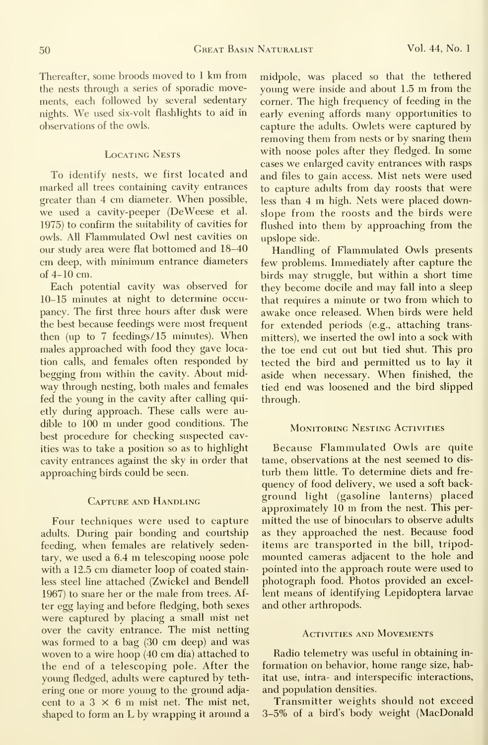Thereafter, some broods moved to <sup>1</sup> km from the nests through a series of sporadic movements, each followed by several sedentary nights. We used six-volt flashlights to aid in observations of the owls.

## Locating Nests

To identify nests, we first located and marked all trees containing cavity entrances greater than <sup>4</sup> cm diameter. When possible, we used a cavity-peeper (DeWeese et al. 1975) to confirm the suitability of cavities for owls. All Flammulated Owl nest cavities on our study area were flat bottomed and 18-40 cm deep, with minimum entrance diameters of 4-10 cm.

Each potential cavity was observed for 10-15 minutes at night to determine occupancy. The first three hours after dusk were the best because feedings were most frequent then (up to <sup>7</sup> feedings/ <sup>15</sup> minutes). When males approached with food they gave location calls, and females often responded by begging from within the cavity. About midway through nesting, both males and females fed the young in the cavity after calling quietly during approach. These calls were audible to <sup>100</sup> m under good conditions. The best procedure for checking suspected cavities was to take a position so as to highlight cavity entrances against the sky in order that approaching birds could be seen.

#### Capture and Handling

Four techniques were used to capture adults. During pair bonding and courtship feeding, when females are relatively sedentary, we used <sup>a</sup> 6.4 m telescoping noose pole with a 12.5 cm diameter loop of coated stainless steel line attached (Zwickel and Bendell 1967) to snare her or the male from trees. After egg laying and before fledging, both sexes were captured by placing a small mist net over the cavity entrance. The mist netting was formed to a bag (30 cm deep) and was woven to a wire hoop (40 cm dia) attached to the end of a telescoping pole. After the young fledged, adults were captured by teth ering one or more young to the ground adja cent to a  $3 \times 6$  m mist net. The mist net, shaped to form an L by wrapping it around <sup>a</sup> midpole, was placed so that the tethered young were inside and about 1.5 m from the corner. The high frequency of feeding in the early evening affords many opportunities to capture the adults. Owlets were captured by removing them from nests or by snaring them with noose poles after they fledged. In some cases we enlarged cavity entrances with rasps and files to gain access. Mist nets were used to capture adults from day roosts that were less than <sup>4</sup> m high. Nets were placed downslope from the roosts and the birds were flushed into them by approaching from the upslope side.

Handling of Flammulated Owls presents few problems. Immediately after capture the birds may struggle, but within a short time they become docile and may fall into a sleep that requires a minute or two from which to awake once released. When birds were held for extended periods (e.g., attaching transmitters), we inserted the owl into <sup>a</sup> sock with the toe end cut out but tied shut. This pro tected the bird and permitted us to lay it aside when necessary. When finished, the tied end was loosened and the bird slipped through.

#### MONITORING NESTING ACTIVITIES

Because Flammulated Owls are quite tame, observations at the nest seemed to dis turb them little. To determine diets and frequency of food delivery, we used <sup>a</sup> soft background light (gasoline lanterns) placed approximately <sup>10</sup> m from the nest. This per mitted the use of binoculars to observe adults as they approached the nest. Because food items are transported in the bill, tripodmounted cameras adjacent to the hole and pointed into the approach route were used to photograph food. Photos provided an excellent means of identifying Lepidoptera larvae and other arthropods.

#### Activities and Movements

Radio telemetry was useful in obtaining in formation on behavior, home range size, habitat use, intra- and interspecific interactions, and population densities.

Transmitter weights should not exceed 3-5% of a bird's body weight (MacDonald